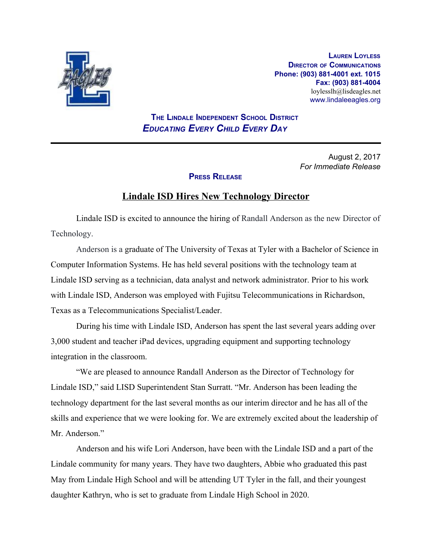

**LAUREN LOYLESS DIRECTOR OF COMMUNICATIONS Phone: (903) 881-4001 ext. 1015 Fax: (903) 881-4004** loylesslh@lisdeagles.net www.lindaleeagles.org

 **THE LINDALE INDEPENDENT SCHOOL DISTRICT** *EDUCATING EVERY CHILD EVERY DAY*

> August 2, 2017 *For Immediate Release*

## **PRESS RELEASE**

## **Lindale ISD Hires New Technology Director**

Lindale ISD is excited to announce the hiring of Randall Anderson as the new Director of Technology.

Anderson is a graduate of The University of Texas at Tyler with a Bachelor of Science in Computer Information Systems. He has held several positions with the technology team at Lindale ISD serving as a technician, data analyst and network administrator. Prior to his work with Lindale ISD, Anderson was employed with Fujitsu Telecommunications in Richardson, Texas as a Telecommunications Specialist/Leader.

During his time with Lindale ISD, Anderson has spent the last several years adding over 3,000 student and teacher iPad devices, upgrading equipment and supporting technology integration in the classroom.

"We are pleased to announce Randall Anderson as the Director of Technology for Lindale ISD," said LISD Superintendent Stan Surratt. "Mr. Anderson has been leading the technology department for the last several months as our interim director and he has all of the skills and experience that we were looking for. We are extremely excited about the leadership of Mr. Anderson."

Anderson and his wife Lori Anderson, have been with the Lindale ISD and a part of the Lindale community for many years. They have two daughters, Abbie who graduated this past May from Lindale High School and will be attending UT Tyler in the fall, and their youngest daughter Kathryn, who is set to graduate from Lindale High School in 2020.